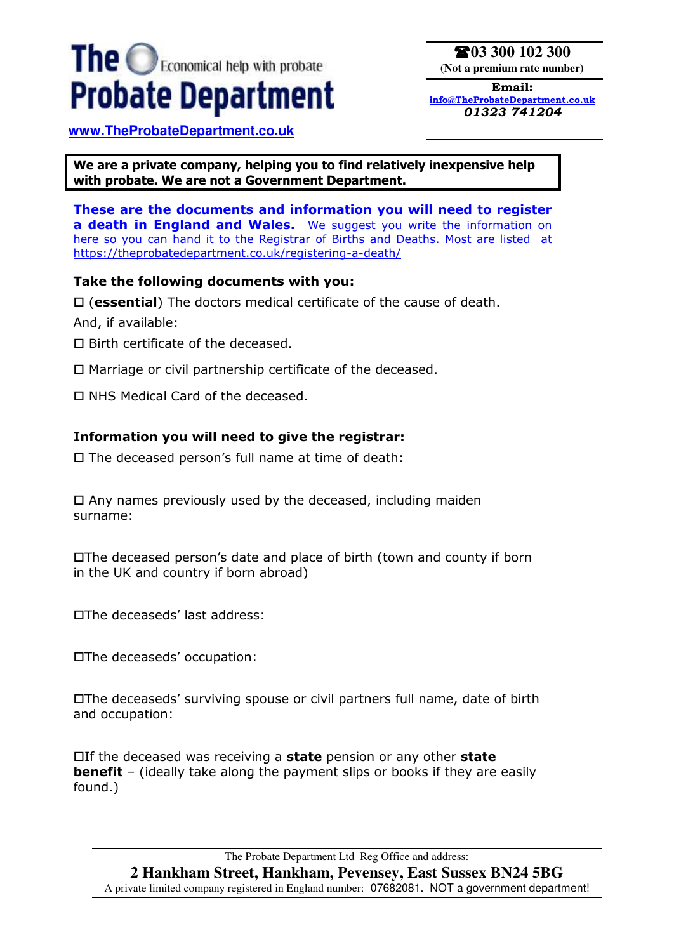# The **O**Economical help with probate **Probate Department**

**03 300 102 300 (Not a premium rate number)**

**Email: [info@TheProbateDepartment.co.uk](mailto:info@TheProbateDepartment.co.uk)** *01323 741204* 

**[www.TheProbateDepartment.co.uk](http://www.theprobatedepartment.co.uk/)** 

**We are a private company, helping you to find relatively inexpensive help with probate. We are not a Government Department.** 

**These are the documents and information you will need to register a death in England and Wales.** We suggest you write the information on here so you can hand it to the Registrar of Births and Deaths. Most are listed at <https://theprobatedepartment.co.uk/registering-a-death/>

## **Take the following documents with you:**

(**essential**) The doctors medical certificate of the cause of death.

And, if available:

- $\square$  Birth certificate of the deceased.
- $\Box$  Marriage or civil partnership certificate of the deceased.
- □ NHS Medical Card of the deceased.

# **Information you will need to give the registrar:**

 $\square$  The deceased person's full name at time of death:

 $\Box$  Any names previously used by the deceased, including maiden surname:

The deceased person's date and place of birth (town and county if born in the UK and country if born abroad)

The deceaseds' last address:

The deceaseds' occupation:

The deceaseds' surviving spouse or civil partners full name, date of birth and occupation:

If the deceased was receiving a **state** pension or any other **state benefit** – (ideally take along the payment slips or books if they are easily found.)